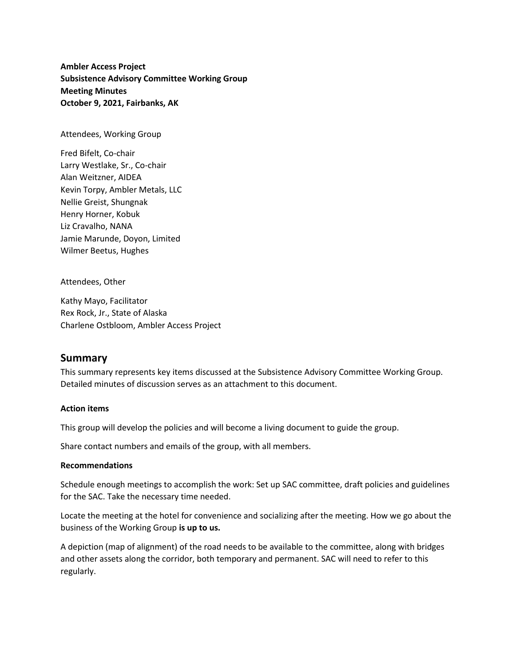**Ambler Access Project Subsistence Advisory Committee Working Group Meeting Minutes October 9, 2021, Fairbanks, AK**

Attendees, Working Group

Fred Bifelt, Co-chair Larry Westlake, Sr., Co-chair Alan Weitzner, AIDEA Kevin Torpy, Ambler Metals, LLC Nellie Greist, Shungnak Henry Horner, Kobuk Liz Cravalho, NANA Jamie Marunde, Doyon, Limited Wilmer Beetus, Hughes

Attendees, Other

Kathy Mayo, Facilitator Rex Rock, Jr., State of Alaska Charlene Ostbloom, Ambler Access Project

# **Summary**

This summary represents key items discussed at the Subsistence Advisory Committee Working Group. Detailed minutes of discussion serves as an attachment to this document.

#### **Action items**

This group will develop the policies and will become a living document to guide the group.

Share contact numbers and emails of the group, with all members.

#### **Recommendations**

Schedule enough meetings to accomplish the work: Set up SAC committee, draft policies and guidelines for the SAC. Take the necessary time needed.

Locate the meeting at the hotel for convenience and socializing after the meeting. How we go about the business of the Working Group **is up to us.**

A depiction (map of alignment) of the road needs to be available to the committee, along with bridges and other assets along the corridor, both temporary and permanent. SAC will need to refer to this regularly.